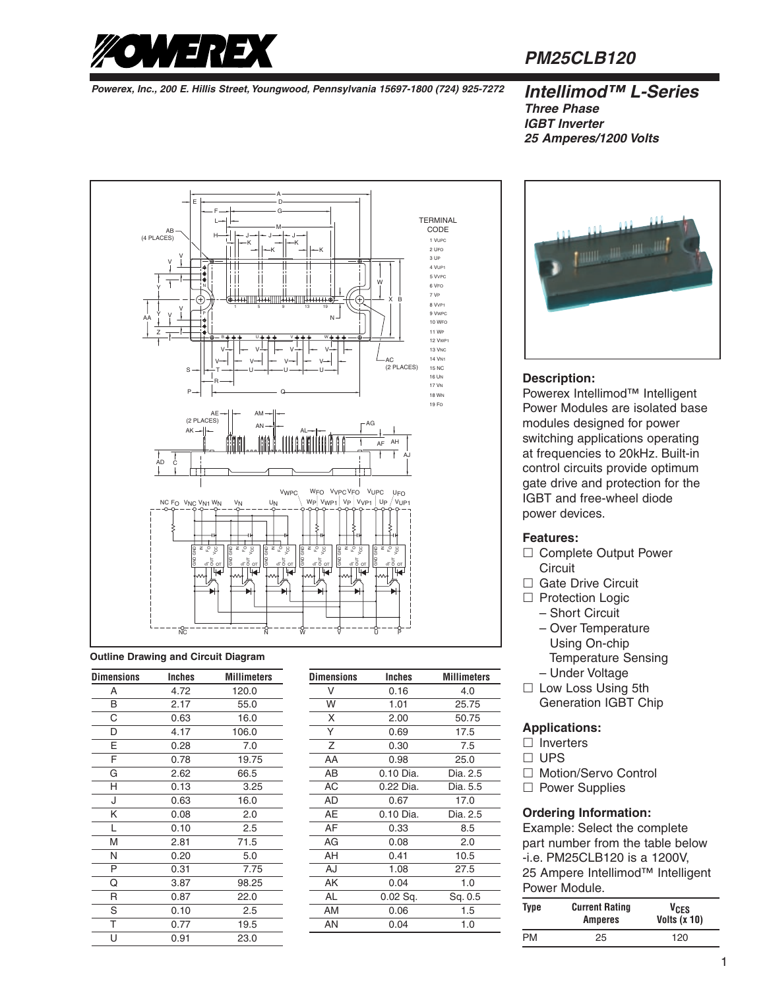

# **PM25CLB120**

**Powerex, Inc., 200 E. Hillis Street, Youngwood, Pennsylvania 15697-1800 (724) 925-7272 Intellimod™ L-Series**

# **Three Phase IGBT Inverter 25 Amperes/1200 Volts**



#### **Outline Drawing and Circuit Diagram**

| <b>Dimensions</b> | Inches | <b>Millimeters</b> |
|-------------------|--------|--------------------|
| A                 | 4.72   | 120.0              |
| B                 | 2.17   | 55.0               |
| C                 | 0.63   | 16.0               |
| D                 | 4.17   | 106.0              |
| E                 | 0.28   | 7.0                |
| F                 | 0.78   | 19.75              |
| G                 | 2.62   | 66.5               |
| Н                 | 0.13   | 3.25               |
| J                 | 0.63   | 16.0               |
| Κ                 | 0.08   | 2.0                |
| L                 | 0.10   | 2.5                |
| M                 | 2.81   | 71.5               |
| N                 | 0.20   | 5.0                |
| P                 | 0.31   | 7.75               |
| Q                 | 3.87   | 98.25              |
| R                 | 0.87   | 22.0               |
| S                 | 0.10   | 2.5                |
| T                 | 0.77   | 19.5               |
| Ù                 | 0.91   | 23.0               |

| <b>Dimensions</b> | Inches     | <b>Millimeters</b> |
|-------------------|------------|--------------------|
| V                 | 0.16       | 4.0                |
| W                 | 1.01       | 25.75              |
| X                 | 2.00       | 50.75              |
| Υ                 | 0.69       | 17.5               |
| Z                 | 0.30       | 7.5                |
| AA                | 0.98       | 25.0               |
| AВ                | 0.10 Dia.  | Dia. 2.5           |
| AC                | 0.22 Dia.  | Dia. 5.5           |
| AD                | 0.67       | 17.0               |
| AE                | 0.10 Dia.  | Dia. 2.5           |
| AF                | 0.33       | 8.5                |
| AG                | 0.08       | 2.0                |
| AH                | 0.41       | 10.5               |
| AJ                | 1.08       | 27.5               |
| AΚ                | 0.04       | 1.0                |
| <b>AL</b>         | $0.02$ Sq. | Sq. 0.5            |
| AM                | 0.06       | 1.5                |
| AN                | 0.04       | 1.0                |
|                   |            |                    |



### **Description:**

Powerex Intellimod™ Intelligent Power Modules are isolated base modules designed for power switching applications operating at frequencies to 20kHz. Built-in control circuits provide optimum gate drive and protection for the IGBT and free-wheel diode power devices.

### **Features:**

- $\square$  Complete Output Power **Circuit**
- $\square$  Gate Drive Circuit
- □ Protection Logic
	- Short Circuit
	- Over Temperature Using On-chip
		- Temperature Sensing
	- Under Voltage
- $\square$  Low Loss Using 5th Generation IGBT Chip

### **Applications:**

- $\square$  Inverters
- $\square$  UPS
- □ Motion/Servo Control
- □ Power Supplies

### **Ordering Information:**

Example: Select the complete part number from the table below -i.e. PM25CLB120 is a 1200V, 25 Ampere Intellimod™ Intelligent Power Module.

| Type | <b>Current Rating</b><br><b>Amperes</b> | VCES<br>Volts $(x 10)$ |
|------|-----------------------------------------|------------------------|
| РM   | 25                                      | 120                    |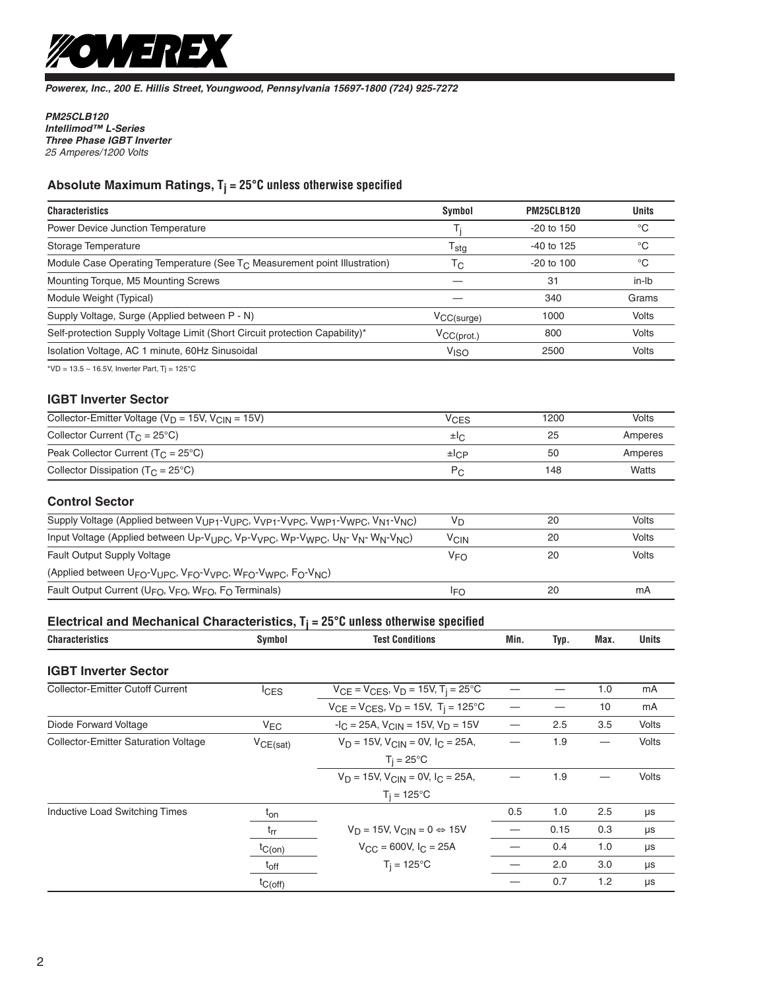

**Powerex, Inc., 200 E. Hillis Street, Youngwood, Pennsylvania 15697-1800 (724) 925-7272**

**PM25CLB120 Intellimod™ L-Series Three Phase IGBT Inverter**  25 Amperes/1200 Volts

# **Absolute Maximum Ratings, Tj = 25°C unless otherwise specified**

| <b>Characteristics</b>                                                       | Symbol                 | <b>PM25CLB120</b>    | <b>Units</b> |
|------------------------------------------------------------------------------|------------------------|----------------------|--------------|
| <b>Power Device Junction Temperature</b>                                     | Ti                     | $-20$ to 150         | °C           |
| Storage Temperature                                                          | $T_{\text{stg}}$       | -40 to 125           | °C           |
| Module Case Operating Temperature (See $T_c$ Measurement point Illustration) | Тc                     | $-20$ to 100         | °C           |
| Mounting Torque, M5 Mounting Screws                                          |                        | 31                   | in-lb        |
| Module Weight (Typical)                                                      |                        | 340                  | Grams        |
| Supply Voltage, Surge (Applied between P - N)                                | $V_{CC(surge)}$        | 1000                 | Volts        |
| Self-protection Supply Voltage Limit (Short Circuit protection Capability)*  | $V_{CC(prot.)}$        | 800                  | <b>Volts</b> |
| Isolation Voltage, AC 1 minute, 60Hz Sinusoidal                              | <b>V<sub>ISO</sub></b> | 2500                 | <b>Volts</b> |
| *VD = $13.5 \sim 16.5$ V, Inverter Part, Tj = $125^{\circ}$ C                |                        |                      |              |
| <b>IGBT Inverter Sector</b>                                                  |                        |                      |              |
| $\cdots$<br>$\cdots$                                                         | $\ddot{\phantom{1}}$   | $\sim$ $\sim$ $\sim$ | $\cdots$     |

| Collector-Emitter Voltage ( $V_D$ = 15V, $V_{CIN}$ = 15V) | VCES                        | 1200 | Volts   |
|-----------------------------------------------------------|-----------------------------|------|---------|
| Collector Current ( $T_C = 25^{\circ}C$ )                 | ±l∩                         | 25   | Amperes |
| Peak Collector Current ( $T_C = 25^{\circ}C$ )            | $\pm$ <sub>L</sub> $\alpha$ | 50   | Amperes |
| Collector Dissipation $(T_C = 25^{\circ}C)$               | $P_{\cap}$                  | 148  | Watts   |

### **Control Sector**

| Supply Voltage (Applied between V <sub>UP1</sub> -V <sub>UPC</sub> , V <sub>VP1</sub> -V <sub>VPC</sub> , V <sub>WP1</sub> -V <sub>WPC</sub> , V <sub>N1</sub> -V <sub>NC</sub> ) | V <sub>D</sub> | 20 | Volts |
|-----------------------------------------------------------------------------------------------------------------------------------------------------------------------------------|----------------|----|-------|
| Input Voltage (Applied between Up-V <sub>UPC</sub> , Vp-V <sub>VPC</sub> , Wp-V <sub>WPC</sub> , U <sub>N</sub> -V <sub>N</sub> - W <sub>N</sub> -V <sub>NC</sub> )               | <b>VCIN</b>    | 20 | Volts |
| <b>Fault Output Supply Voltage</b>                                                                                                                                                | <b>VFO</b>     | 20 | Volts |
| (Applied between $U_{FO}$ -V <sub>UPC</sub> , V <sub>FO</sub> -V <sub>VPC</sub> , W <sub>FO</sub> -V <sub>WPC</sub> , F <sub>O</sub> -V <sub>NC</sub> )                           |                |    |       |
| Fault Output Current ( $U_{FO}$ , $V_{FO}$ , $W_{FO}$ , $F_{O}$ Terminals)                                                                                                        | IFO            | 20 | mA    |

# **Electrical and Mechanical Characteristics, Tj = 25°C unless otherwise specified**

| Symbol                                                                                       | <b>Test Conditions</b>                                                                                                                                                                          | Min.                                                                                              | Typ. | Max. | <b>Units</b> |  |
|----------------------------------------------------------------------------------------------|-------------------------------------------------------------------------------------------------------------------------------------------------------------------------------------------------|---------------------------------------------------------------------------------------------------|------|------|--------------|--|
|                                                                                              |                                                                                                                                                                                                 |                                                                                                   |      |      |              |  |
| <sup>I</sup> CES                                                                             | $V_D = 15V$ , $V_{CIN} = 0V$ , $I_C = 25A$ ,<br>$T_i = 25^{\circ}$ C<br>$V_D = 15V$ , $V_{CIN} = 0V$ , $I_C = 25A$ ,<br>$T_i = 125^{\circ}C$<br>$V_D = 15V$ , $V_{CIN} = 0 \Leftrightarrow 15V$ |                                                                                                   |      | 1.0  | mA           |  |
|                                                                                              | $V_{CE} = V_{CES}$ , $V_D = 15V$ , $T_i = 125$ °C                                                                                                                                               |                                                                                                   |      | 10   | mA           |  |
| Diode Forward Voltage<br>$V_{FC}$<br><b>Collector-Emitter Saturation Voltage</b><br>VCE(sat) |                                                                                                                                                                                                 |                                                                                                   |      |      |              |  |
|                                                                                              |                                                                                                                                                                                                 |                                                                                                   | 1.9  |      | <b>Volts</b> |  |
|                                                                                              |                                                                                                                                                                                                 |                                                                                                   |      |      |              |  |
|                                                                                              |                                                                                                                                                                                                 |                                                                                                   | 1.9  |      | Volts        |  |
|                                                                                              |                                                                                                                                                                                                 |                                                                                                   |      |      |              |  |
| $t_{on}$                                                                                     |                                                                                                                                                                                                 | 0.5                                                                                               | 1.0  | 2.5  | μs           |  |
| $t_{rr}$                                                                                     |                                                                                                                                                                                                 |                                                                                                   | 0.15 | 0.3  | μs           |  |
| $tC(on)$                                                                                     | $V_{\text{CC}}$ = 600V, $I_{\text{C}}$ = 25A                                                                                                                                                    |                                                                                                   | 0.4  | 1.0  | μs           |  |
| $T_i = 125$ °C<br>$t_{off}$                                                                  |                                                                                                                                                                                                 |                                                                                                   | 2.0  | 3.0  | μs           |  |
| $t_{C(off)}$                                                                                 |                                                                                                                                                                                                 |                                                                                                   | 0.7  | 1.2  | μs           |  |
|                                                                                              |                                                                                                                                                                                                 | $V_{CE} = V_{CES}$ , $V_D = 15V$ , $T_i = 25^{\circ}C$<br>$-IC = 25A$ , $VCIN = 15V$ , $VD = 15V$ |      | 2.5  | 3.5          |  |